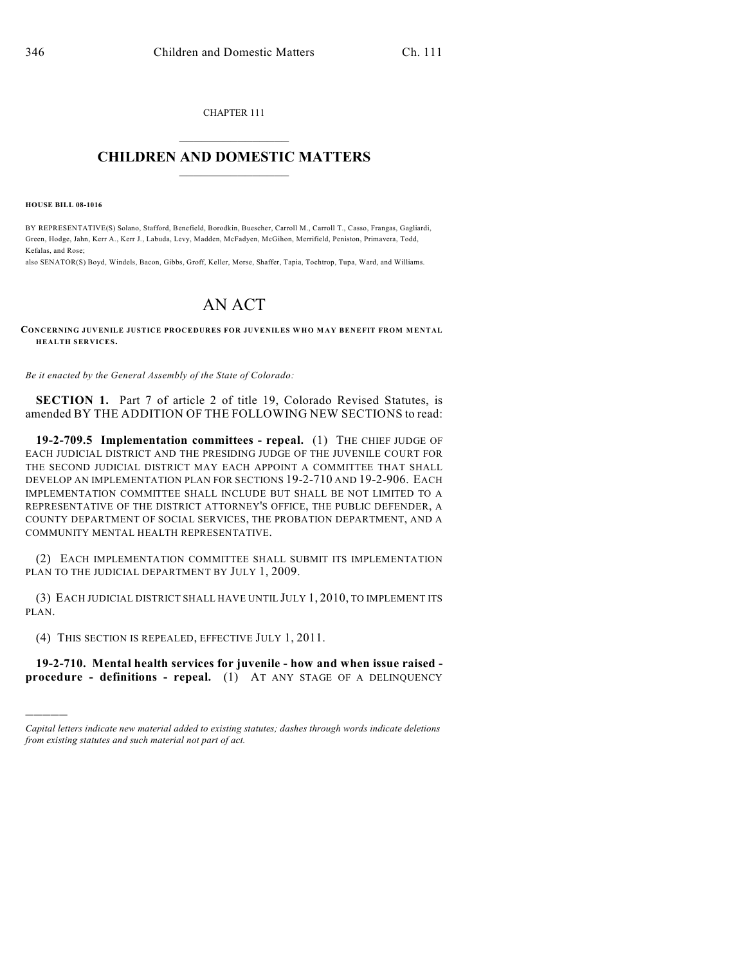CHAPTER 111  $\overline{\phantom{a}}$  . The set of the set of the set of the set of the set of the set of the set of the set of the set of the set of the set of the set of the set of the set of the set of the set of the set of the set of the set o

## **CHILDREN AND DOMESTIC MATTERS**  $\_$

**HOUSE BILL 08-1016**

)))))

BY REPRESENTATIVE(S) Solano, Stafford, Benefield, Borodkin, Buescher, Carroll M., Carroll T., Casso, Frangas, Gagliardi, Green, Hodge, Jahn, Kerr A., Kerr J., Labuda, Levy, Madden, McFadyen, McGihon, Merrifield, Peniston, Primavera, Todd, Kefalas, and Rose;

also SENATOR(S) Boyd, Windels, Bacon, Gibbs, Groff, Keller, Morse, Shaffer, Tapia, Tochtrop, Tupa, Ward, and Williams.

## AN ACT

**CONCERNING JUVENILE JUSTICE PROCEDURES FOR JUVENILES WHO MAY BENEFIT FROM MENTAL HEALTH SERVICES.**

*Be it enacted by the General Assembly of the State of Colorado:*

**SECTION 1.** Part 7 of article 2 of title 19, Colorado Revised Statutes, is amended BY THE ADDITION OF THE FOLLOWING NEW SECTIONS to read:

**19-2-709.5 Implementation committees - repeal.** (1) THE CHIEF JUDGE OF EACH JUDICIAL DISTRICT AND THE PRESIDING JUDGE OF THE JUVENILE COURT FOR THE SECOND JUDICIAL DISTRICT MAY EACH APPOINT A COMMITTEE THAT SHALL DEVELOP AN IMPLEMENTATION PLAN FOR SECTIONS 19-2-710 AND 19-2-906. EACH IMPLEMENTATION COMMITTEE SHALL INCLUDE BUT SHALL BE NOT LIMITED TO A REPRESENTATIVE OF THE DISTRICT ATTORNEY'S OFFICE, THE PUBLIC DEFENDER, A COUNTY DEPARTMENT OF SOCIAL SERVICES, THE PROBATION DEPARTMENT, AND A COMMUNITY MENTAL HEALTH REPRESENTATIVE.

(2) EACH IMPLEMENTATION COMMITTEE SHALL SUBMIT ITS IMPLEMENTATION PLAN TO THE JUDICIAL DEPARTMENT BY JULY 1, 2009.

(3) EACH JUDICIAL DISTRICT SHALL HAVE UNTIL JULY 1, 2010, TO IMPLEMENT ITS PLAN.

(4) THIS SECTION IS REPEALED, EFFECTIVE JULY 1, 2011.

**19-2-710. Mental health services for juvenile - how and when issue raised procedure - definitions - repeal.** (1) AT ANY STAGE OF A DELINQUENCY

*Capital letters indicate new material added to existing statutes; dashes through words indicate deletions from existing statutes and such material not part of act.*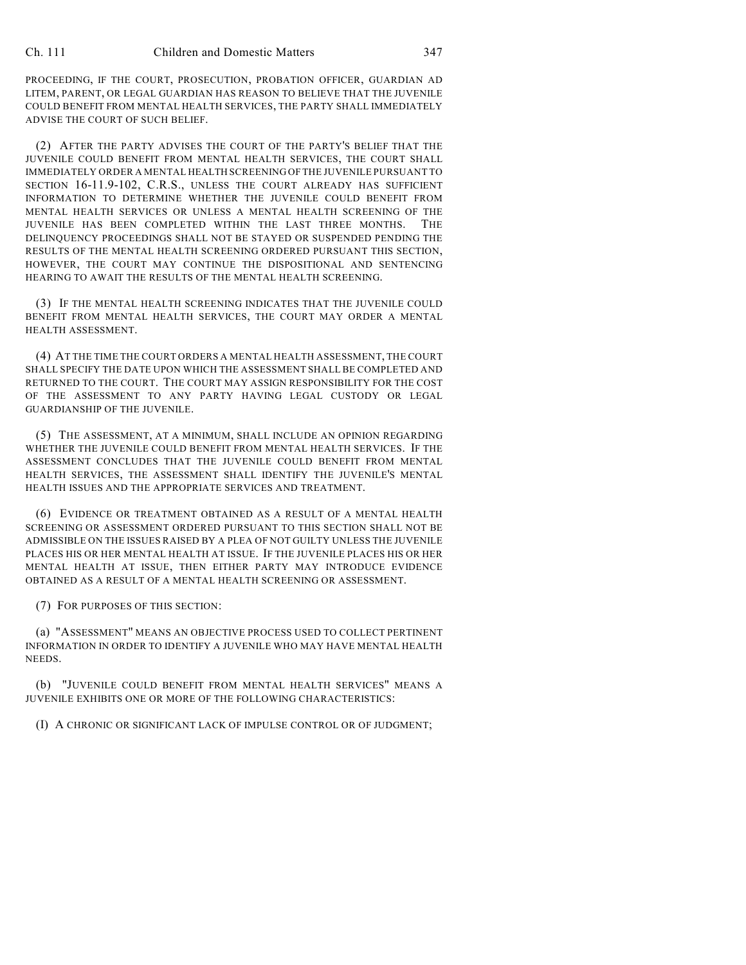PROCEEDING, IF THE COURT, PROSECUTION, PROBATION OFFICER, GUARDIAN AD LITEM, PARENT, OR LEGAL GUARDIAN HAS REASON TO BELIEVE THAT THE JUVENILE COULD BENEFIT FROM MENTAL HEALTH SERVICES, THE PARTY SHALL IMMEDIATELY ADVISE THE COURT OF SUCH BELIEF.

(2) AFTER THE PARTY ADVISES THE COURT OF THE PARTY'S BELIEF THAT THE JUVENILE COULD BENEFIT FROM MENTAL HEALTH SERVICES, THE COURT SHALL IMMEDIATELY ORDER A MENTAL HEALTH SCREENING OF THE JUVENILE PURSUANT TO SECTION 16-11.9-102, C.R.S., UNLESS THE COURT ALREADY HAS SUFFICIENT INFORMATION TO DETERMINE WHETHER THE JUVENILE COULD BENEFIT FROM MENTAL HEALTH SERVICES OR UNLESS A MENTAL HEALTH SCREENING OF THE JUVENILE HAS BEEN COMPLETED WITHIN THE LAST THREE MONTHS. THE DELINQUENCY PROCEEDINGS SHALL NOT BE STAYED OR SUSPENDED PENDING THE RESULTS OF THE MENTAL HEALTH SCREENING ORDERED PURSUANT THIS SECTION, HOWEVER, THE COURT MAY CONTINUE THE DISPOSITIONAL AND SENTENCING HEARING TO AWAIT THE RESULTS OF THE MENTAL HEALTH SCREENING.

(3) IF THE MENTAL HEALTH SCREENING INDICATES THAT THE JUVENILE COULD BENEFIT FROM MENTAL HEALTH SERVICES, THE COURT MAY ORDER A MENTAL HEALTH ASSESSMENT.

(4) AT THE TIME THE COURT ORDERS A MENTAL HEALTH ASSESSMENT, THE COURT SHALL SPECIFY THE DATE UPON WHICH THE ASSESSMENT SHALL BE COMPLETED AND RETURNED TO THE COURT. THE COURT MAY ASSIGN RESPONSIBILITY FOR THE COST OF THE ASSESSMENT TO ANY PARTY HAVING LEGAL CUSTODY OR LEGAL GUARDIANSHIP OF THE JUVENILE.

(5) THE ASSESSMENT, AT A MINIMUM, SHALL INCLUDE AN OPINION REGARDING WHETHER THE JUVENILE COULD BENEFIT FROM MENTAL HEALTH SERVICES. IF THE ASSESSMENT CONCLUDES THAT THE JUVENILE COULD BENEFIT FROM MENTAL HEALTH SERVICES, THE ASSESSMENT SHALL IDENTIFY THE JUVENILE'S MENTAL HEALTH ISSUES AND THE APPROPRIATE SERVICES AND TREATMENT.

(6) EVIDENCE OR TREATMENT OBTAINED AS A RESULT OF A MENTAL HEALTH SCREENING OR ASSESSMENT ORDERED PURSUANT TO THIS SECTION SHALL NOT BE ADMISSIBLE ON THE ISSUES RAISED BY A PLEA OF NOT GUILTY UNLESS THE JUVENILE PLACES HIS OR HER MENTAL HEALTH AT ISSUE. IF THE JUVENILE PLACES HIS OR HER MENTAL HEALTH AT ISSUE, THEN EITHER PARTY MAY INTRODUCE EVIDENCE OBTAINED AS A RESULT OF A MENTAL HEALTH SCREENING OR ASSESSMENT.

(7) FOR PURPOSES OF THIS SECTION:

(a) "ASSESSMENT" MEANS AN OBJECTIVE PROCESS USED TO COLLECT PERTINENT INFORMATION IN ORDER TO IDENTIFY A JUVENILE WHO MAY HAVE MENTAL HEALTH NEEDS.

(b) "JUVENILE COULD BENEFIT FROM MENTAL HEALTH SERVICES" MEANS A JUVENILE EXHIBITS ONE OR MORE OF THE FOLLOWING CHARACTERISTICS:

(I) A CHRONIC OR SIGNIFICANT LACK OF IMPULSE CONTROL OR OF JUDGMENT;